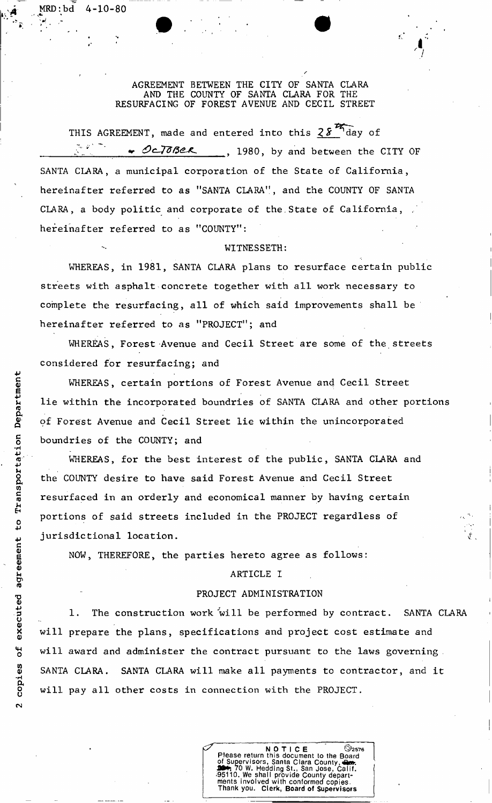AGREEMENT BETWEEN THE CITY OF SANTA CLARA AND THE COUNTY OF SANTA CLARA FOR THE RESURFACING OF FOREST AVENUE AND CECIL STREET

THIS AGREEMENT, made and entered into this  $28\frac{25}{3}$  day of CLTOBER 1980, by and between the CITY OF SANTA CLARA, a municipal corporation of the State of California, hereinafter referred to as "SANTA CLARA", and the COUNTY OF SANTA CLARA, a body politic and corporate of the State of California, hereinafter referred to as "COUNTY":

#### WITNESSETH:

WHEREAS, in 1981, SANTA CLARA plans to resurface certain public streets with asphalt concrete together with all work necessary to complete the resurfacing, all of which said improvements shall be hereinafter referred to as "PROJECT"; and

WHEREAS, Forest Avenue and Cecil Street are some of the streets considered for resurfacing; and

WHEREAS, certain portions of Forest Avenue and Cecil Street lie within the incorporated boundries of SANTA CLARA and other portions of Forest Avenue and Cecil Street lie within the unincorporated boundries of the COUNTY; and

WHEREAS, for the best interest of the public, SANTA CLARA and the COUNTY desire to have said Forest Avenue and Cecil Street resurfaced in an orderly and economical manner by having certain portions of said streets included in the PROJECT regardless of jurisdictional location.

NOW, THEREFORE, the parties hereto agree as follows:

### ARTICLE I

### PROJECT ADMINISTRATION

1. The construction work will be performed by contract. SANTA CLARA will prepare the plans, specifications and project cost estimate and will award and administer the contract pursuant to the laws governing . SANTA CLARA. SANTA CLARA will make all payments to contractor, and it will pay all other costs in connection with the PROJECT.



MRD:bd 4-10-80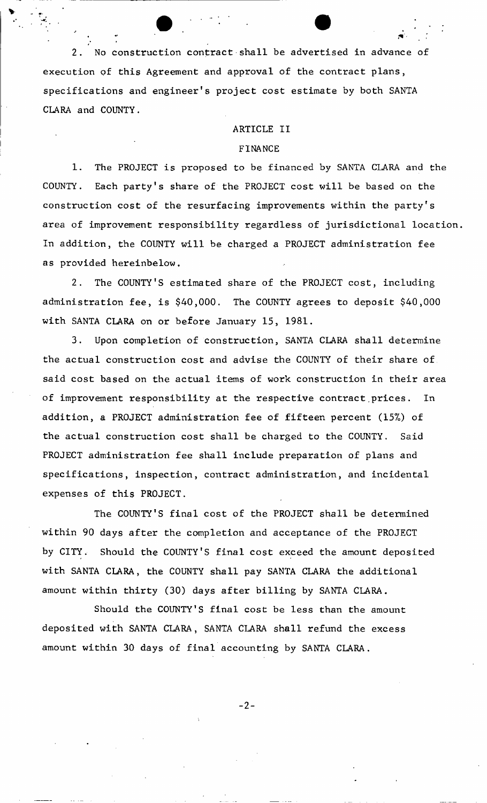2. No construction contract shall be advertised in advance of execution of this Agreement and approval of the contract plans, specifications and engineer's project cost estimate by both SANTA CLARA and COUNTY.

#### ARTICLE II

### FINANCE

1. The PROJECT is proposed to be financed by SANTA CLARA and the COUNTY. Each party's share of the PROJECT cost will be based on the construction cost of the resurfacing improvements within the party's area of improvement responsibility regardless of jurisdictional location. In addition, the COUNTY will be charged a PROJECT administration fee as provided hereinbelow.

2. The COUNTY'S estimated share of the PROJECT cost, including administration fee, is \$40,000. The COUNTY agrees to deposit \$40,000 with SANTA CLARA on or before January 15, 1981.

3. Upon completion of construction, SANTA CLARA shall determine the actual construction cost and advise the COUNTY of their share of said cost based on the actual items of work construction in their area of improvement responsibility at the respective contract prices. In addition, a PROJECT administration fee of fifteen percent (15%) of the actual construction cost shall be charged to the COUNTY. Said PROJECT administration fee shall include preparation of plans and specifications, inspection, contract administration, and incidental expenses of this PROJECT.

The COUNTY'S final cost of the PROJECT shall be determined within 90 days after the completion and acceptance of the PROJECT by CITY. Should the COUNTY'S final cost exceed the amount deposited with SANTA CLARA, the COUNTY shall pay SANTA CLARA the additional amount within thirty (30) days after billing by SANTA CLARA.

Should the COUNTY'S final cost be less than the amount deposited with SANTA CLARA, SANTA CLARA shall refund the excess amount within 30 days of final accounting by SANTA CLARA.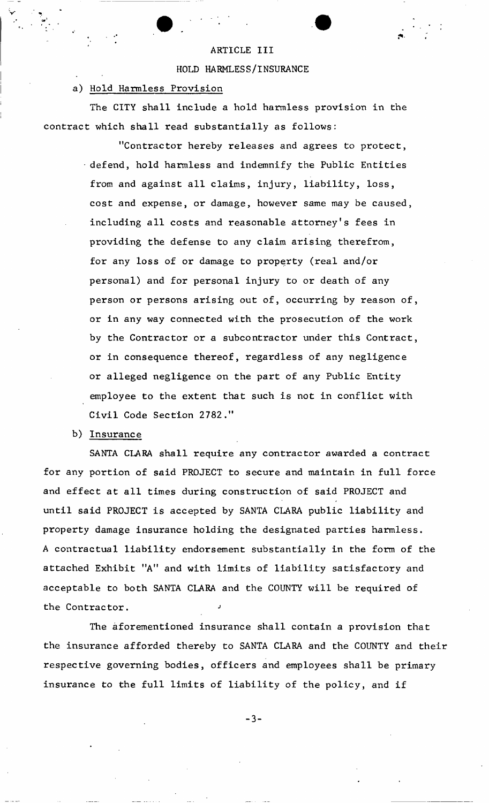### ARTICLE III

#### HOLD HARMLESS/INSURANCE

### a) Hold Harmless Provision

The CITY shall include a hold harmless provision in the contract which shall read substantially as follows:

> "Contractor hereby releases and agrees to protect, defend, hold harmless and indemnify the Public Entities from and against all claims, injury, liability, loss, cost and expense, or damage, however same may be caused, including all costs and reasonable attorney's fees in providing the defense to any claim arising therefrom, for any loss of or damage to property (real and/or personal) and for personal injury to or death of any person or persons arising out of, occurring by reason of, or in any way connected with the prosecution of the work by the Contractor or a subcontractor under this Contract, or in consequence thereof, regardless of any negligence or alleged negligence on the part of any Public Entity employee to the extent that such is not in conflict with Civil Code Section 2782."

b) Insurance

SANTA CLARA shall require any contractor awarded a contract for any portion of said PROJECT to secure and maintain in full force and effect at all times during construction of said PROJECT and until said PROJECT is accepted by SANTA CLARA public liability and property damage insurance holding the designated parties harmless. A contractual liability endorsement substantially in the form of the attached Exhibit "A" and with limits of liability satisfactory and acceptable to both SANTA CLARA and the COUNTY will be required of the Contractor.

The aforementioned insurance shall contain a provision that the insurance afforded thereby to SANTA CLARA and the COUNTY and their respective governing bodies, officers and employees shall be primary insurance to the full limits of liability of the policy, and if

 $-3 -$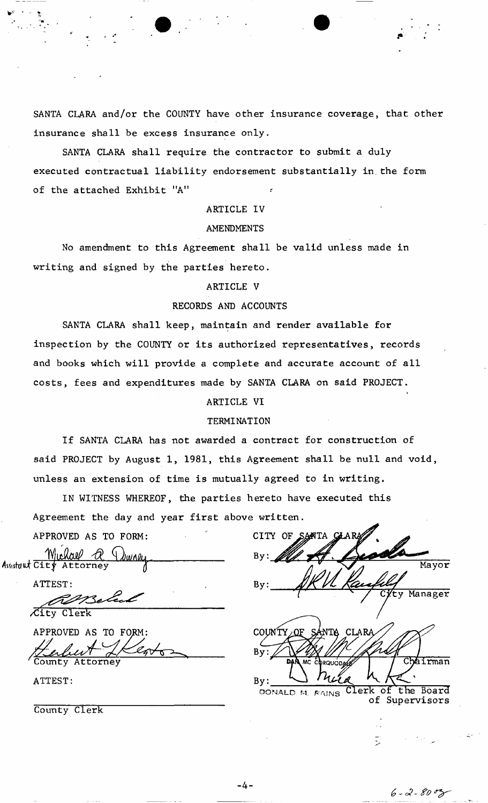SANTA CLARA and/or the COUNTY have other insurance coverage, that other insurance shall be excess insurance only.

SANTA CLARA shall require the contractor to submit a duly executed contractual liability endorsement substantially in.the form of the attached Exhibit "A"

### ARTICLE IV

#### AMENDMENTS

No amendment to this Agreement shall be valid unless made in writing and signed by the parties hereto.

### ARTICLE V

### RECORDS AND ACCOUNTS

SANTA CLARA shall keep, maintain and render available for inspection by the COUNTY or its authorized representatives, records and books which will provide a complete and accurate account of all costs, fees and expenditures made by SANTA CLARA on said PROJECT.

# ARTICLE VI

### TERMINATION

If SANTA CLARA has not awarded a contract for construction of said PROJECT by August 1, 1981, this Agreement shall be null and void, unless an extension of time is mutually agreed to in writing.

IN WITNESS WHEREOF, the parties hereto have executed this Agreement the day and year first above written.

APPROVED AS TO FORM:

 $\frac{W(N)}{N}$ ,  $\frac{W(N)}{N}$ ,  $\frac{W(N)}{N}$ AswtauurCity Attorney *q* 

ATTEST:

/City Clerk

APPROVED AS TO FORM: Lerbert L

ATTEST:

County Clerk

| OF SANTA CLARA<br><b>CITY</b>                           |
|---------------------------------------------------------|
| By:                                                     |
| Mayor<br>By:                                            |
| Cyty Manager                                            |
|                                                         |
| <b>CLARA</b><br>NTA<br>COUNTY<br>ΩF<br>$S^{\mu}$        |
| By:<br>DAN MC CORQUODS<br>Chairman                      |
| By:                                                     |
| Clerk of the Board<br>DONALD M. FAINS<br>of Supervisors |

 $6 - 2 - 80$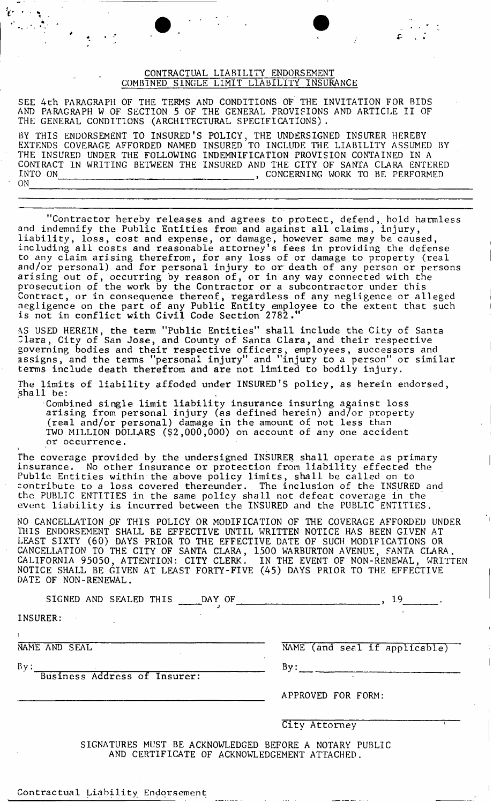### CONTRACTUAL LIABILITY ENDORSEMENT COMBINED SINGLE LIMIT LIABILITY INSURANCE

SEE 4th PARAGRAPH OF THE TERMS AND CONDITIONS OF THE INVITATION FOR BIDS AND PARAGRAPH W OF SECTION 5 OF THE GENERAL PROVISIONS AND ARTICLE II OF THE GENERAL CONDITIONS (ARCHITECTURAL SPECIFICATIONS).

BY THIS ENDORSEMENT TO INSURED'S POLICY, THE UNDERSIGNED INSURER HEREBY EXTENDS COVERAGE AFFORDED NAMED INSURED TO INCLUDE THE LIABILITY ASSUMED BY THE INSURED UNDER THE FOLLOWING INDEMNIFICATION PROVISION CONTAINED IN A CONTRACT IN WRITING BETWEEN THE INSURED AND THE CITY OF SANTA CLARA ENTERED INTO ON , CONCERNING WORK TO BE PERFORMED <sup>r</sup> ON

"Contractor hereby releases and agrees to protect, defend, hold harmless and indemnify the Public Entities from and against all claims, injury, liability, loss, cost and expense, or damage, however same may be caused, including all costs and reasonable attorney's fees in providing the defense to any claim arising therefrom, for any loss of or damage to property (real and/or personal) and for personal injury to or death of any person or persons arising out of, occurring by reason of, or in any way connected with the prosecution of the work by the Contractor or a subcontractor under this Contract, or in consequence thereof, regardless of any negligence or alleged negligence on the part of any Public Entity employee to the extent that such is not in conflict with Civil Code Section 2782

*\S* USED HEREIN, the term "Public Entities" shall include the City of Santa  $\verb|Clara, City of San Jose, and County of Santa Clara, and their respective$ governing bodies and their respective officers, employees, successors and assigns, and the terms "personal injury" and "injury to a person" or similar terms include death therefrom and are not limited to bodily injury.

The limits of liability affoded under INSURED'S policy, as herein endorsed, shall be:

Combined single limit liability insurance insuring against loss arising from personal injury (as defined herein) and/or property (real and/or personal) damage in the amount of not less than TWO MILLION DOLLARS (\$2,000,000) on account of any one accident or occurrence.

The coverage provided by the undersigned INSURER shall operate as primary insurance. No other insurance or protection from liability effected the <code>Public</code> Entities within the above policy limits, shall be called on to  $\,$ contribute to a loss covered thereunder. The inclusion of the INSURED and the PUBLIC ENTITIES in the same policy shall not defeat coverage in the event liability is incurred between the INSURED and the PUBLIC ENTITIES.

NO CANCELLATION OF THIS POLICY OR MODIFICATION OF THE COVERAGE AFFORDED UNDER 1HIS ENDORSEMENT SHALL BE EFFECTIVE UNTIL WRITTEN NOTICE HAS BEEN GIVEN AT LEAST SIXTY (60) DAYS PRIOR TO THE EFFECTIVE DATE OF SUCH MODIFICATIONS OR CANCELLATION TO THE CITY OF SANTA CLARA, 1500 WARBURTON AVENUE, SANTA CLARA, CALIFORNIA 95050, ATTENTION: CITY CLERK. IN THE EVENT OF NON-RENEWAL, WRITTEN NOTICE SHALL BE GIVEN AT LEAST FORTY-FIVE (45) DAYS PRIOR TO THE EFFECTIVE DATE OF NON-RENEWAL.

| SIGNED AND SEALED THIS _____DAY OF ____________ | 19                            |
|-------------------------------------------------|-------------------------------|
| INSURER:                                        |                               |
|                                                 |                               |
| NAME AND SEAL                                   | NAME (and seal if applicable) |
| By:<br>Business Address of Insurer:             | By:                           |
|                                                 | APPROVED FOR FORM:            |
|                                                 | City Attorney                 |

SIGNATURES MUST BE ACKNOWLEDGED BEFORE A NOTARY PUBLIC AND CERTIFICATE OF ACKNOWLEDGEMENT ATTACHED.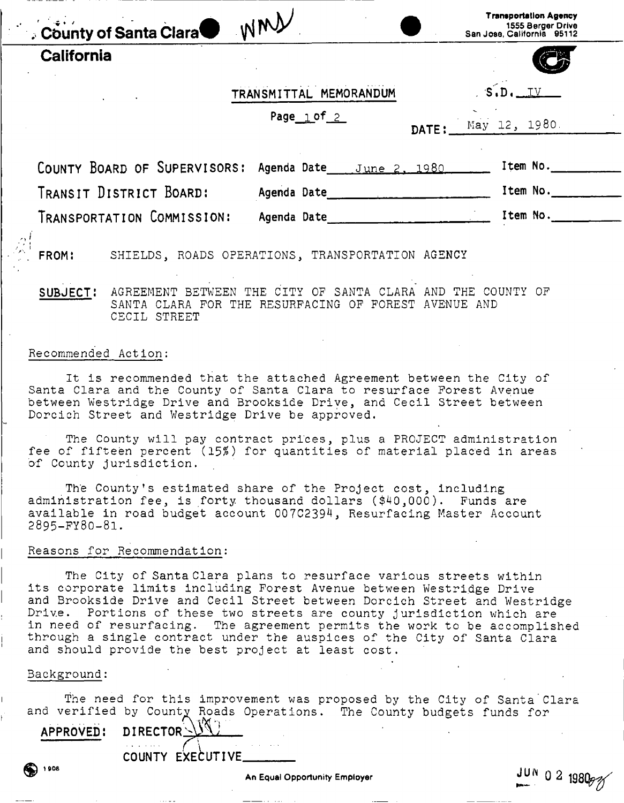<span id="page-5-0"></span>

| County of Santa Clara WMY    |                                                  |       | Transportation Agency<br>1555 Berger Drive<br>San Jose, California 95112 |
|------------------------------|--------------------------------------------------|-------|--------------------------------------------------------------------------|
| California                   |                                                  |       |                                                                          |
|                              | TRANSMITTAL MEMORANDUM                           |       | S.D.IV                                                                   |
|                              | Page $1$ of $2$                                  | DATE: | May 12, 1980.                                                            |
| COUNTY BOARD OF SUPERVISORS: | Agenda Date June 2, 1980                         |       | Item No.                                                                 |
| TRANSIT DISTRICT BOARD:      | Agenda Date                                      |       | Item No.                                                                 |
| TRANSPORTATION COMMISSION:   | Agenda Date 1988                                 |       | Item No.                                                                 |
| FROM:                        | SHIELDS, ROADS OPERATIONS, TRANSPORTATION AGENCY |       |                                                                          |

SUBJECT: AGREEMENT BETWEEN THE CITY OF SANTA CLARA AND THE COUNTY OF SANTA CLARA FOR THE RESURFACING OF FOREST AVENUE AND CECIL STREET

#### Recommended Action:

It is recommended that the attached Agreement between the City of Santa Clara and the County of Santa Clara to resurface Forest Avenue between Westridge Drive and Brookside Drive, and Cecil Street between Dorcich Street and Westridge Drive be approved.

The County will pay contract prices, plus a PROJECT administration fee of fifteen percent *(15%)* for quantities of material placed in areas of County jurisdiction.

The County's estimated share of the Project cost, including administration fee, is forty, thousand dollars (\$40,000). Funds are available in road budget account 007C2394, Resurfacing Master Account 2895-FY80-81.

#### Reasons for Recommendation:

The City of Santa Clara plans to resurface various streets within its corporate limits including Forest Avenue between Westridge Drive and Brookside Drive and Cecil Street between Dorcich Street and Westridge Drive. Portions of these two streets are county jurisdiction which are in need of resurfacing. The agreement permits the work to be accomplished through a single contract under the auspices of the City of Santa Clara and should provide the best project at least cost.

#### Background:

 $\bigcirc$  1908

The need for this improvement was proposed by the City of Santa Clara and verified by County Roads Operations. The County budgets funds for

APPROVED: DIRECTOR

COUNTY EXECUTIVE

**An Equal Opportunity Employer**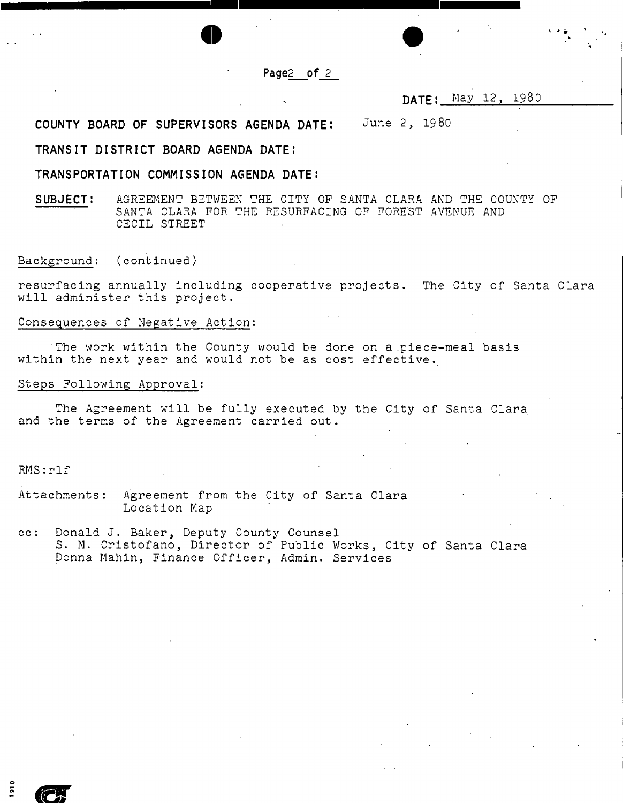#### **Page2 of 2**

o estado en la contrada de la contrada de la contrada de la contrada de la contrada de la contrada de la contrada de la contrada de la contrada de la contrada de la contrada de la contrada de la contrada de la contrada de

**DATE! May 12, 1980** 

COUNTY BOARD OF SUPERVISORS AGENDA DATE: JUNE **2, 19 80** 

#### TRANSIT DISTRICT BOARD AGENDA DATE:

#### TRANSPORTATION COMMISSION AGENDA DATE:

SUBJECT: AGREEMENT BETWEEN THE CITY OF SANTA CLARA AND THE COUNTY OF SANTA CLARA FOR THE RESURFACING OF FOREST AVENUE AND CECIL STREET

Background: (continued)

resurfacing annually including cooperative projects. The City of Santa Clara will administer this project.

### Consequences of Negative Action:

The work within the County would be done on a piece-meal basis within the next year and would not be as cost effective.

#### Steps Following Approval:

The Agreement will be fully executed by the City of Santa Clara and the terms of the Agreement carried out.

RMS:rlf

-

 $\mathbb{C}$ 

Attachments: Agreement from the City of Santa Clara Location Map

cc: Donald J. Baker, Deputy County Counsel S. M. Cristofano, Director of Public Works, City' of Santa Clara Donna Mahin, Finance Officer, Admin. Services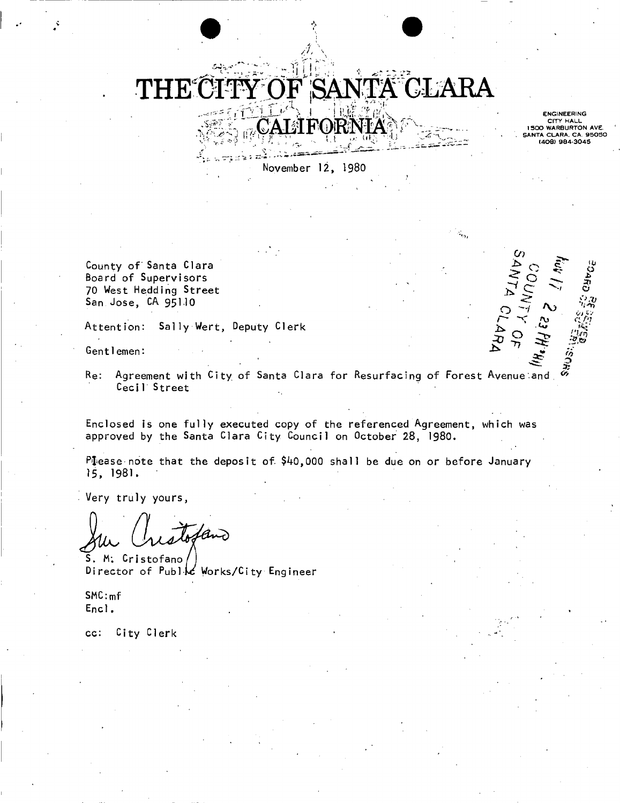# *Til*   $\sqrt{\mathrm{TA}}$  CLARA  $\mathbf{1} \in \mathbb{R}^{n \times n}$  , where  $\mathbb{R}^{n \times n}$

November 12, 1980

 $\sum_{i=1}^n$ 

**ENGINEERING** CITY HALL<br>1500 WARBURTON AVE.<br>ANTA CLARA, CA. 95050 408) 984-3045

*f\y* c *fn* 

*o>* 

 $\vec{\Sigma}$   $\tau$ 

County of Santa Clara Board of Supervisors 70 West Hedding Street San Jose, CA 95110

Attention: Sally Wert, Deputy Clerk ^

gentlemen.  $\mathcal{S}$   $\mathcal{S}$ 

Re: Agreement with City of Santa Clara for Resurfacing of Forest Avenueland. Ceci1 Street

Enclosed is one fully executed copy of the referenced Agreement, which was approved by the Santa Clara City Council on October 28, I98O.

Please note that the deposit of \$40,000 shall be due on or before January 15, 1981.

Very truly yours,

tan

S. M: Cristofano Director of Public Works/City Engineer

SMC:<sup>m</sup> f  $Encl.$ 

cc: City Clerk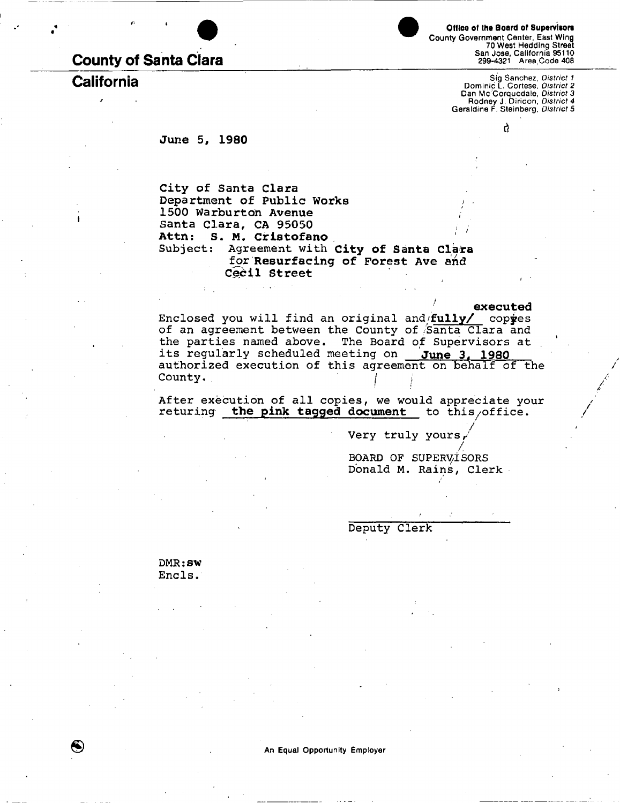# **County of Santa Clara**

Office of the Board of Supervisors **County Government Center, East Wing 70 West Heddlng Street San Jose, California 95110 299-4321 Area,Code 408** 

**California Sig Sanchez,** *District 1*  **Dominic L. Cortese,** *District 2*  **Dan Mc Corquodale,** *District 3*  **Rodney J. Diridon,** *District 4*  **Geraldine F. Steinberg,** *District 5* 

d

**June 5, 1980** 

**City of Santa Clara**  Department of Public Works 1500 Warburton Avenue **Santa Clara, CA 95050 Attn: S. M. Cristofano**  Subject: Agreement with **City of Santa Clara**  for **Resurfacing of Forest Ave and Cecil Street** 

**executed** 

/

Enclosed you will find an original and fully/ copyes of an agreement between the County of Santa Clara and the parties named above. The Board of Supervisors at its regularly scheduled meeting on **June 3, 1980**  authorized execution of this agreement on behalf of the County.

After execution of all copies, we would appreciate your returing **the pink tagged document** to this/office.

Very truly yours

/<br>... BOARD OF SUPERVISORS Donald M. Rains, Clerk

Deputy Clerk

DMR: aw Encls.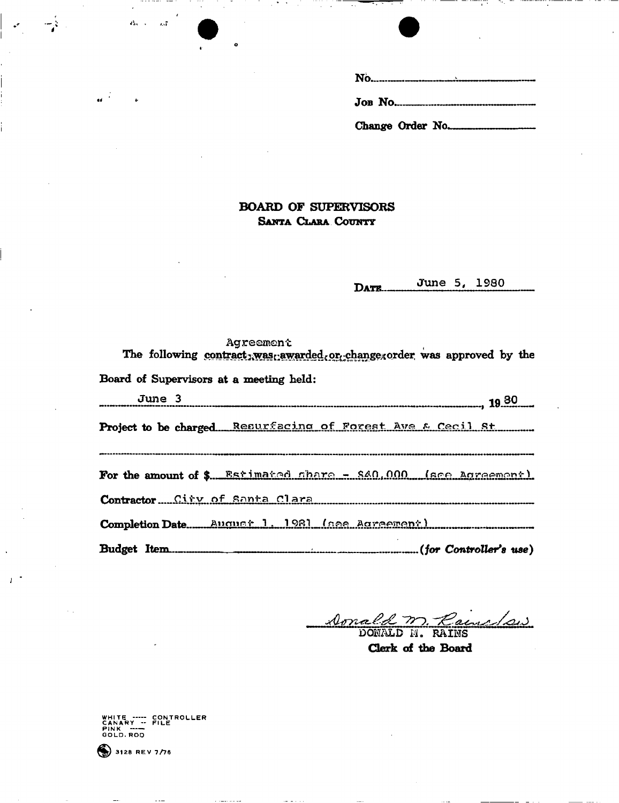| Change Order No. |
|------------------|

### **BOARD OF SUPERVISORS** SANTA CLARA COUNTY

June 5, 1980 DATE.

#### Agreement

The following contract, was awarded or change corder was approved by the

Board of Supervisors at a meeting held:

 $\mathbf{a}_{k}$  .  $\sim 7$ 

June 3 Project to be charged Resurfacing of Forest Ave & Cecil St For the amount of \$ Estimated chara - \$40,000 (see Agreement) Contractor City of Santa Clara ---------------------------------------------------------Budget Item...........  $\mathbf{1}$  $...........(for Controler's use)$ 

P. Rainedaw Donald  $\overline{M}$ .

Clerk of the Board

WHITE ----- CONTROLLER<br>CANARY -- FILE<br>PINK -----<br>GOLD.ROD